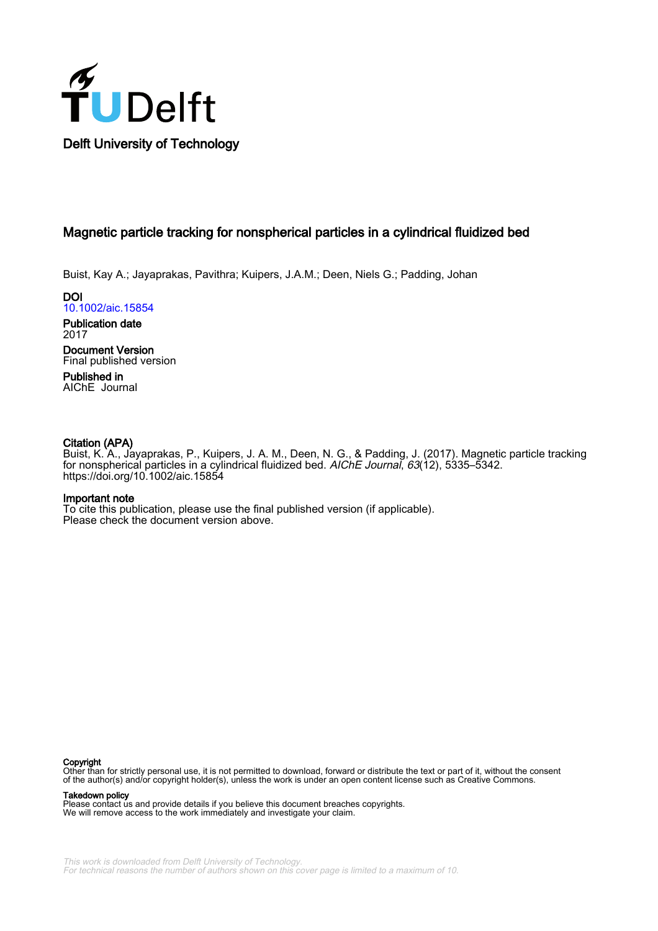

## Magnetic particle tracking for nonspherical particles in a cylindrical fluidized bed

Buist, Kay A.; Jayaprakas, Pavithra; Kuipers, J.A.M.; Deen, Niels G.; Padding, Johan

DOI [10.1002/aic.15854](https://doi.org/10.1002/aic.15854)

Publication date 2017

Document Version Final published version

Published in AIChE Journal

## Citation (APA)

Buist, K. A., Jayaprakas, P., Kuipers, J. A. M., Deen, N. G., & Padding, J. (2017). Magnetic particle tracking for nonspherical particles in a cylindrical fluidized bed. AIChE Journal, 63(12), 5335–5342. <https://doi.org/10.1002/aic.15854>

## Important note

To cite this publication, please use the final published version (if applicable). Please check the document version above.

#### Copyright

Other than for strictly personal use, it is not permitted to download, forward or distribute the text or part of it, without the consent of the author(s) and/or copyright holder(s), unless the work is under an open content license such as Creative Commons.

Takedown policy

Please contact us and provide details if you believe this document breaches copyrights. We will remove access to the work immediately and investigate your claim.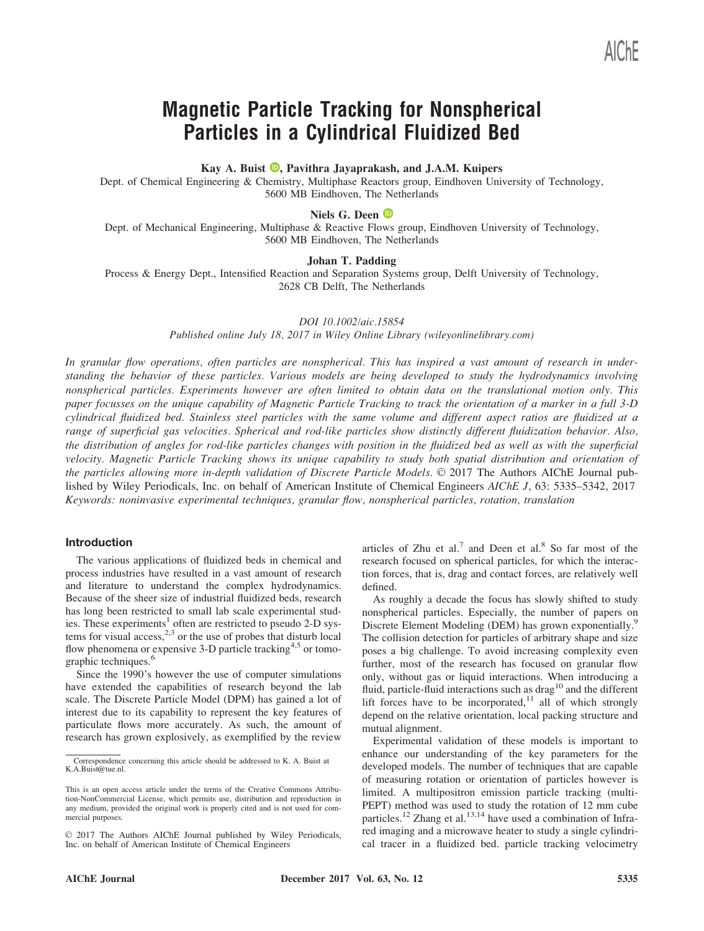# Magnetic Particle Tracking for Nonspherical Particles in a Cylindrical Fluidized Bed

Kay A. Buist  $\bullet$ , Pavithra Jayaprakash, and J.A.M. Kuipers

Dept. of Chemical Engineering & Chemistry, Multiphase Reactors group, Eindhoven University of Technology, 5600 MB Eindhoven, The Netherlands

## Niels G. Deen  $\mathbf{\mathbb{D}}$

Dept. of Mechanical Engineering, Multiphase & Reactive Flows group, Eindhoven University of Technology, 5600 MB Eindhoven, The Netherlands

## Johan T. Padding

Process & Energy Dept., Intensified Reaction and Separation Systems group, Delft University of Technology, 2628 CB Delft, The Netherlands

#### DOI 10.1002/aic.15854

Published online July 18, 2017 in Wiley Online Library (wileyonlinelibrary.com)

In granular flow operations, often particles are nonspherical. This has inspired a vast amount of research in understanding the behavior of these particles. Various models are being developed to study the hydrodynamics involving nonspherical particles. Experiments however are often limited to obtain data on the translational motion only. This paper focusses on the unique capability of Magnetic Particle Tracking to track the orientation of a marker in a full 3-D cylindrical fluidized bed. Stainless steel particles with the same volume and different aspect ratios are fluidized at a range of superficial gas velocities. Spherical and rod-like particles show distinctly different fluidization behavior. Also, the distribution of angles for rod-like particles changes with position in the fluidized bed as well as with the superficial velocity. Magnetic Particle Tracking shows its unique capability to study both spatial distribution and orientation of the particles allowing more in-depth validation of Discrete Particle Models. © 2017 The Authors AIChE Journal published by Wiley Periodicals, Inc. on behalf of American Institute of Chemical Engineers AIChE J, 63: 5335–5342, 2017 Keywords: noninvasive experimental techniques, granular flow, nonspherical particles, rotation, translation

#### Introduction

The various applications of fluidized beds in chemical and process industries have resulted in a vast amount of research and literature to understand the complex hydrodynamics. Because of the sheer size of industrial fluidized beds, research has long been restricted to small lab scale experimental studies. These experiments<sup>1</sup> often are restricted to pseudo 2-D systems for visual access,  $2,3$  or the use of probes that disturb local flow phenomena or expensive 3-D particle tracking<sup>4,5</sup> or tomographic techniques.<sup>6</sup>

Since the 1990's however the use of computer simulations have extended the capabilities of research beyond the lab scale. The Discrete Particle Model (DPM) has gained a lot of interest due to its capability to represent the key features of particulate flows more accurately. As such, the amount of research has grown explosively, as exemplified by the review

articles of Zhu et al.<sup>7</sup> and Deen et al.<sup>8</sup> So far most of the research focused on spherical particles, for which the interaction forces, that is, drag and contact forces, are relatively well defined.

As roughly a decade the focus has slowly shifted to study nonspherical particles. Especially, the number of papers on Discrete Element Modeling (DEM) has grown exponentially.<sup>9</sup> The collision detection for particles of arbitrary shape and size poses a big challenge. To avoid increasing complexity even further, most of the research has focused on granular flow only, without gas or liquid interactions. When introducing a fluid, particle-fluid interactions such as drag<sup>10</sup> and the different lift forces have to be incorporated, $11$  all of which strongly depend on the relative orientation, local packing structure and mutual alignment.

Experimental validation of these models is important to enhance our understanding of the key parameters for the developed models. The number of techniques that are capable of measuring rotation or orientation of particles however is limited. A multipositron emission particle tracking (multi-PEPT) method was used to study the rotation of 12 mm cube particles.<sup>12</sup> Zhang et al.<sup>13,14</sup> have used a combination of Infrared imaging and a microwave heater to study a single cylindrical tracer in a fluidized bed. particle tracking velocimetry

Correspondence concerning this article should be addressed to K. A. Buist at K.A.Buist@tue.nl.

This is an open access article under the terms of the [Creative Commons Attribu](http://creativecommons.org/licenses/by-nc/4.0/)[tion-NonCommercial](http://creativecommons.org/licenses/by-nc/4.0/) License, which permits use, distribution and reproduction in any medium, provided the original work is properly cited and is not used for commercial purposes.

 $© 2017$  The Authors AIChE Journal published by Wiley Periodicals, Inc. on behalf of American Institute of Chemical Engineers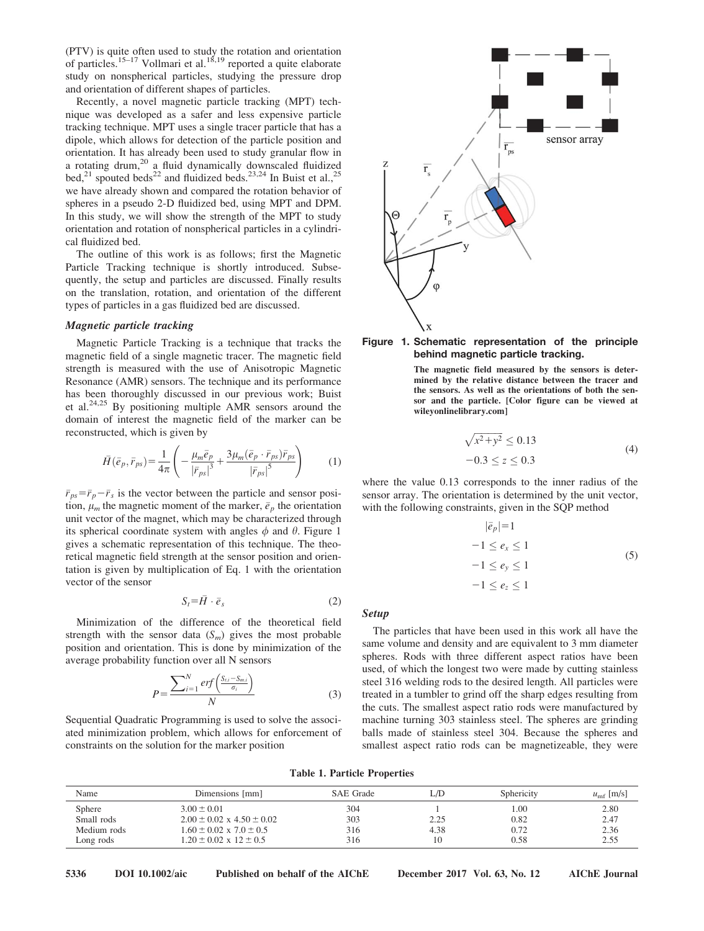(PTV) is quite often used to study the rotation and orientation of particles.<sup>15–17</sup> Vollmari et al.<sup>18,19</sup> reported a quite elaborate study on nonspherical particles, studying the pressure drop and orientation of different shapes of particles.

Recently, a novel magnetic particle tracking (MPT) technique was developed as a safer and less expensive particle tracking technique. MPT uses a single tracer particle that has a dipole, which allows for detection of the particle position and orientation. It has already been used to study granular flow in a rotating drum, $20$  a fluid dynamically downscaled fluidized bed,<sup>21</sup> spouted beds<sup>22</sup> and fluidized beds.<sup>23,24</sup> In Buist et al.,<sup>25</sup> we have already shown and compared the rotation behavior of spheres in a pseudo 2-D fluidized bed, using MPT and DPM. In this study, we will show the strength of the MPT to study orientation and rotation of nonspherical particles in a cylindrical fluidized bed.

The outline of this work is as follows; first the Magnetic Particle Tracking technique is shortly introduced. Subsequently, the setup and particles are discussed. Finally results on the translation, rotation, and orientation of the different types of particles in a gas fluidized bed are discussed.

## Magnetic particle tracking

Magnetic Particle Tracking is a technique that tracks the magnetic field of a single magnetic tracer. The magnetic field strength is measured with the use of Anisotropic Magnetic Resonance (AMR) sensors. The technique and its performance has been thoroughly discussed in our previous work; Buist et al.24,25 By positioning multiple AMR sensors around the domain of interest the magnetic field of the marker can be reconstructed, which is given by

$$
\bar{H}(\bar{e}_p, \bar{r}_{ps}) = \frac{1}{4\pi} \left( -\frac{\mu_m \bar{e}_p}{|\bar{r}_{ps}|^3} + \frac{3\mu_m (\bar{e}_p \cdot \bar{r}_{ps}) \bar{r}_{ps}}{|\bar{r}_{ps}|^5} \right) \tag{1}
$$

 $\bar{r}_{ps} = \bar{r}_p - \bar{r}_s$  is the vector between the particle and sensor position,  $\mu_m$  the magnetic moment of the marker,  $\bar{e}_p$  the orientation unit vector of the magnet, which may be characterized through its spherical coordinate system with angles  $\phi$  and  $\theta$ . Figure 1 gives a schematic representation of this technique. The theoretical magnetic field strength at the sensor position and orientation is given by multiplication of Eq. 1 with the orientation vector of the sensor

$$
S_t = \bar{H} \cdot \bar{e}_s \tag{2}
$$

Minimization of the difference of the theoretical field strength with the sensor data  $(S_m)$  gives the most probable position and orientation. This is done by minimization of the average probability function over all N sensors

$$
P = \frac{\sum_{i=1}^{N} erf\left(\frac{S_{t,i} - S_{m,i}}{\sigma_i}\right)}{N}
$$
(3)

Sequential Quadratic Programming is used to solve the associated minimization problem, which allows for enforcement of constraints on the solution for the marker position





The magnetic field measured by the sensors is determined by the relative distance between the tracer and the sensors. As well as the orientations of both the sensor and the particle. [Color figure can be viewed at [wileyonlinelibrary.com\]](http://wileyonlinelibrary.com)

$$
\sqrt{x^2 + y^2} \le 0.13
$$
  
-0.3 \le z \le 0.3 (4)

where the value 0.13 corresponds to the inner radius of the sensor array. The orientation is determined by the unit vector, with the following constraints, given in the SQP method

$$
|\bar{e}_p|=1
$$
  
\n
$$
-1 \le e_x \le 1
$$
  
\n
$$
-1 \le e_y \le 1
$$
  
\n
$$
-1 \le e_z \le 1
$$
  
\n(5)

#### Setup

The particles that have been used in this work all have the same volume and density and are equivalent to 3 mm diameter spheres. Rods with three different aspect ratios have been used, of which the longest two were made by cutting stainless steel 316 welding rods to the desired length. All particles were treated in a tumbler to grind off the sharp edges resulting from the cuts. The smallest aspect ratio rods were manufactured by machine turning 303 stainless steel. The spheres are grinding balls made of stainless steel 304. Because the spheres and smallest aspect ratio rods can be magnetizeable, they were

|  |  | <b>Table 1. Particle Properties</b> |  |  |
|--|--|-------------------------------------|--|--|
|--|--|-------------------------------------|--|--|

| Name        | Dimensions [mm]                      | SAE Grade | L/D  | Sphericity | $u_{\rm mf}$ [m/s] |
|-------------|--------------------------------------|-----------|------|------------|--------------------|
| Sphere      | $3.00 \pm 0.01$                      | 304       |      | 0.00       | 2.80               |
| Small rods  | $2.00 \pm 0.02 \times 4.50 \pm 0.02$ | 303       | 2.25 | 0.82       | 2.47               |
| Medium rods | $1.60 \pm 0.02 \times 7.0 \pm 0.5$   | 316       | 4.38 | 0.72       | 2.36               |
| Long rods   | $1.20 \pm 0.02 \times 12 \pm 0.5$    | 316       |      | 0.58       | 2.55               |

5336 DOI 10.1002/aic Published on behalf of the AIChE December 2017 Vol. 63, No. 12 AIChE Journal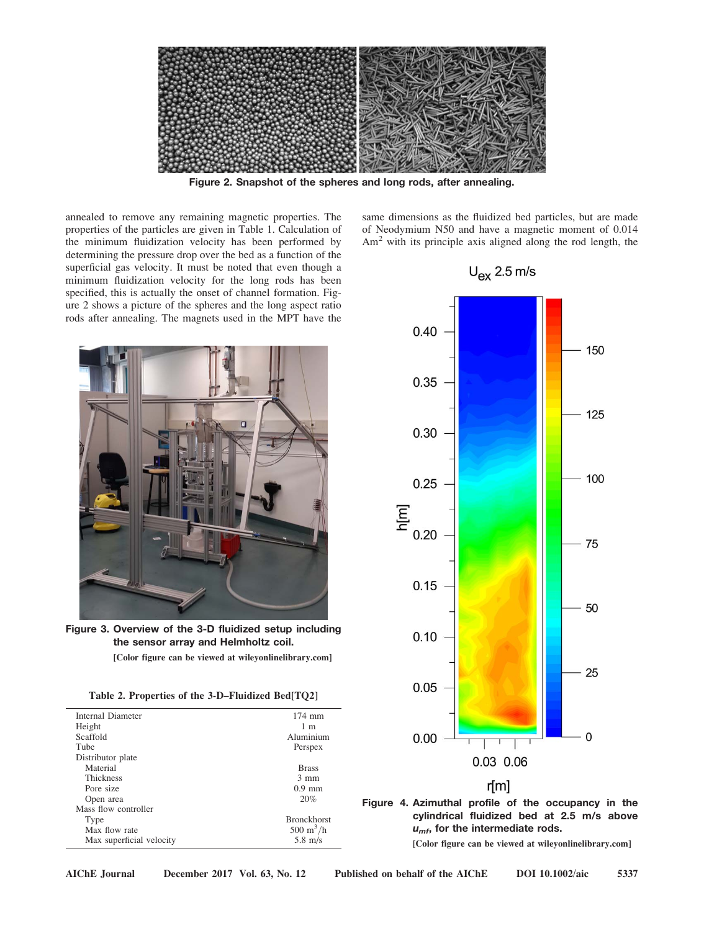

Figure 2. Snapshot of the spheres and long rods, after annealing.

annealed to remove any remaining magnetic properties. The properties of the particles are given in Table 1. Calculation of the minimum fluidization velocity has been performed by determining the pressure drop over the bed as a function of the superficial gas velocity. It must be noted that even though a minimum fluidization velocity for the long rods has been specified, this is actually the onset of channel formation. Figure 2 shows a picture of the spheres and the long aspect ratio rods after annealing. The magnets used in the MPT have the



Figure 3. Overview of the 3-D fluidized setup including the sensor array and Helmholtz coil. [Color figure can be viewed at [wileyonlinelibrary.com](http://wileyonlinelibrary.com)]

|  |  |  | <b>FORD THEM CALL DE VIEWED AT MILEVOLUMENT AT V.COM</b> |  |
|--|--|--|----------------------------------------------------------|--|
|  |  |  |                                                          |  |

|  |  |  | Table 2. Properties of the 3-D–Fluidized Bed[TQ2] |  |
|--|--|--|---------------------------------------------------|--|
|--|--|--|---------------------------------------------------|--|

| Internal Diameter        | $174$ mm                         |
|--------------------------|----------------------------------|
| Height                   | 1 <sub>m</sub>                   |
| Scaffold                 | Aluminium                        |
| Tube                     | Perspex                          |
| Distributor plate        |                                  |
| Material                 | <b>Brass</b>                     |
| <b>Thickness</b>         | $3 \text{ mm}$                   |
| Pore size                | $0.9$ mm                         |
| Open area                | 20%                              |
| Mass flow controller     |                                  |
| Type                     | <b>Bronckhorst</b>               |
| Max flow rate            | $500 \; \mathrm{m}^3/\mathrm{h}$ |
| Max superficial velocity | $5.8 \text{ m/s}$                |





Figure 4. Azimuthal profile of the occupancy in the cylindrical fluidized bed at 2.5 m/s above  $u_{\text{mf}}$ , for the intermediate rods.

[Color figure can be viewed at [wileyonlinelibrary.com\]](http://wileyonlinelibrary.com)

 $U_{ex}$  2.5 m/s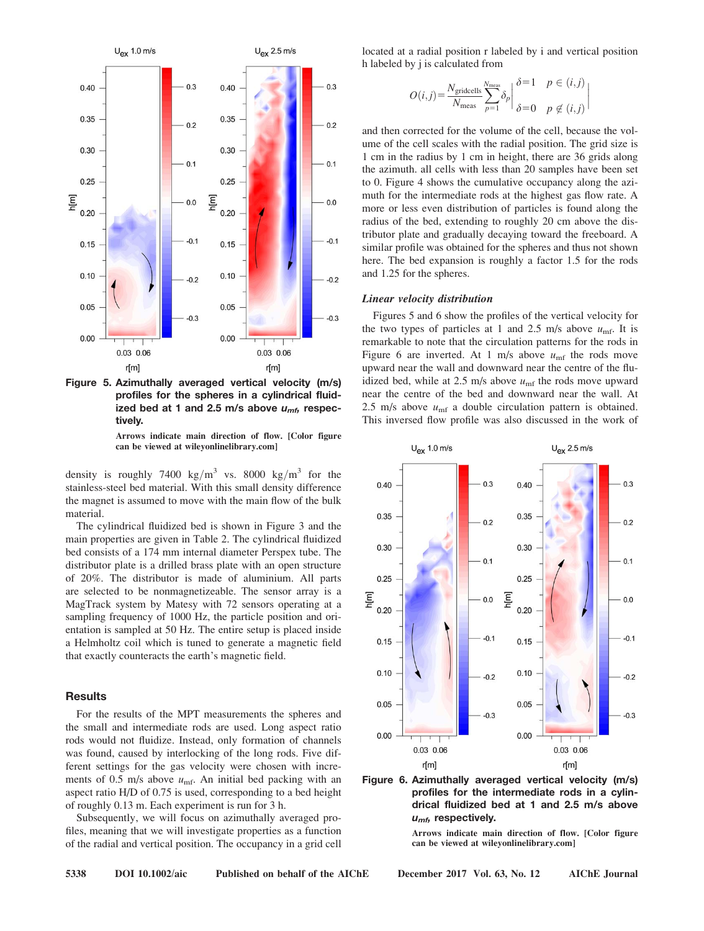



Arrows indicate main direction of flow. [Color figure can be viewed at [wileyonlinelibrary.com\]](http://wileyonlinelibrary.com)

density is roughly 7400 kg/m<sup>3</sup> vs. 8000 kg/m<sup>3</sup> for the stainless-steel bed material. With this small density difference the magnet is assumed to move with the main flow of the bulk material.

The cylindrical fluidized bed is shown in Figure 3 and the main properties are given in Table 2. The cylindrical fluidized bed consists of a 174 mm internal diameter Perspex tube. The distributor plate is a drilled brass plate with an open structure of 20%. The distributor is made of aluminium. All parts are selected to be nonmagnetizeable. The sensor array is a MagTrack system by Matesy with 72 sensors operating at a sampling frequency of 1000 Hz, the particle position and orientation is sampled at 50 Hz. The entire setup is placed inside a Helmholtz coil which is tuned to generate a magnetic field that exactly counteracts the earth's magnetic field.

## **Results**

For the results of the MPT measurements the spheres and the small and intermediate rods are used. Long aspect ratio rods would not fluidize. Instead, only formation of channels was found, caused by interlocking of the long rods. Five different settings for the gas velocity were chosen with increments of 0.5 m/s above  $u_{\text{mf}}$ . An initial bed packing with an aspect ratio H/D of 0.75 is used, corresponding to a bed height of roughly 0.13 m. Each experiment is run for 3 h.

Subsequently, we will focus on azimuthally averaged profiles, meaning that we will investigate properties as a function of the radial and vertical position. The occupancy in a grid cell located at a radial position r labeled by i and vertical position h labeled by j is calculated from

$$
O(i,j) = \frac{N_{\text{grideells}}}{N_{\text{meas}}} \sum_{p=1}^{N_{\text{meas}}} \delta_p \left| \frac{\delta=1}{\delta=0} \right| \frac{p \in (i,j)}{p \notin (i,j)} \right|
$$

and then corrected for the volume of the cell, because the volume of the cell scales with the radial position. The grid size is 1 cm in the radius by 1 cm in height, there are 36 grids along the azimuth. all cells with less than 20 samples have been set to 0. Figure 4 shows the cumulative occupancy along the azimuth for the intermediate rods at the highest gas flow rate. A more or less even distribution of particles is found along the radius of the bed, extending to roughly 20 cm above the distributor plate and gradually decaying toward the freeboard. A similar profile was obtained for the spheres and thus not shown here. The bed expansion is roughly a factor 1.5 for the rods and 1.25 for the spheres.

#### Linear velocity distribution

Figures 5 and 6 show the profiles of the vertical velocity for the two types of particles at 1 and 2.5 m/s above  $u_{\text{mf}}$ . It is remarkable to note that the circulation patterns for the rods in Figure 6 are inverted. At 1 m/s above  $u_{\text{mf}}$  the rods move upward near the wall and downward near the centre of the fluidized bed, while at 2.5 m/s above  $u_{\text{mf}}$  the rods move upward near the centre of the bed and downward near the wall. At 2.5 m/s above  $u_{\text{mf}}$  a double circulation pattern is obtained. This inversed flow profile was also discussed in the work of



Figure 6. Azimuthally averaged vertical velocity (m/s) profiles for the intermediate rods in a cylindrical fluidized bed at 1 and 2.5 m/s above  $u_{m}$ , respectively.

Arrows indicate main direction of flow. [Color figure can be viewed at [wileyonlinelibrary.com\]](http://wileyonlinelibrary.com)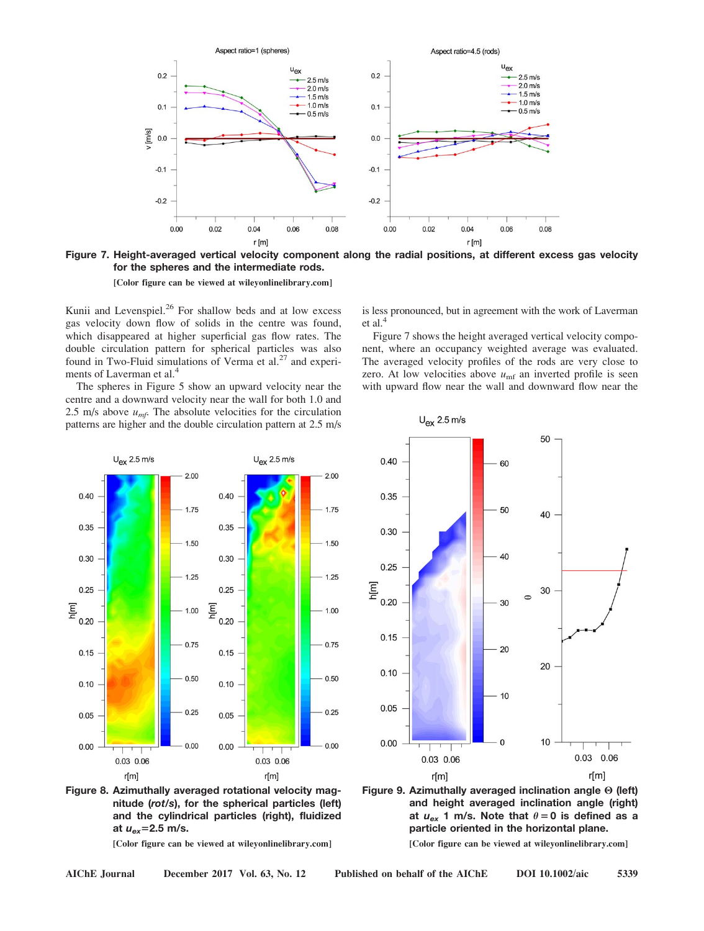

Figure 7. Height-averaged vertical velocity component along the radial positions, at different excess gas velocity for the spheres and the intermediate rods.

[Color figure can be viewed at [wileyonlinelibrary.com](http://wileyonlinelibrary.com)]

Kunii and Levenspiel.<sup>26</sup> For shallow beds and at low excess gas velocity down flow of solids in the centre was found, which disappeared at higher superficial gas flow rates. The double circulation pattern for spherical particles was also found in Two-Fluid simulations of Verma et al. $27$  and experiments of Laverman et al.<sup>4</sup>

The spheres in Figure 5 show an upward velocity near the centre and a downward velocity near the wall for both 1.0 and 2.5 m/s above  $u_{\text{mf}}$ . The absolute velocities for the circulation patterns are higher and the double circulation pattern at 2.5 m/s is less pronounced, but in agreement with the work of Laverman et al.<sup>4</sup>

Figure 7 shows the height averaged vertical velocity component, where an occupancy weighted average was evaluated. The averaged velocity profiles of the rods are very close to zero. At low velocities above  $u_{\text{mf}}$  an inverted profile is seen with upward flow near the wall and downward flow near the





[Color figure can be viewed at [wileyonlinelibrary.com\]](http://wileyonlinelibrary.com)





[Color figure can be viewed at [wileyonlinelibrary.com\]](http://wileyonlinelibrary.com)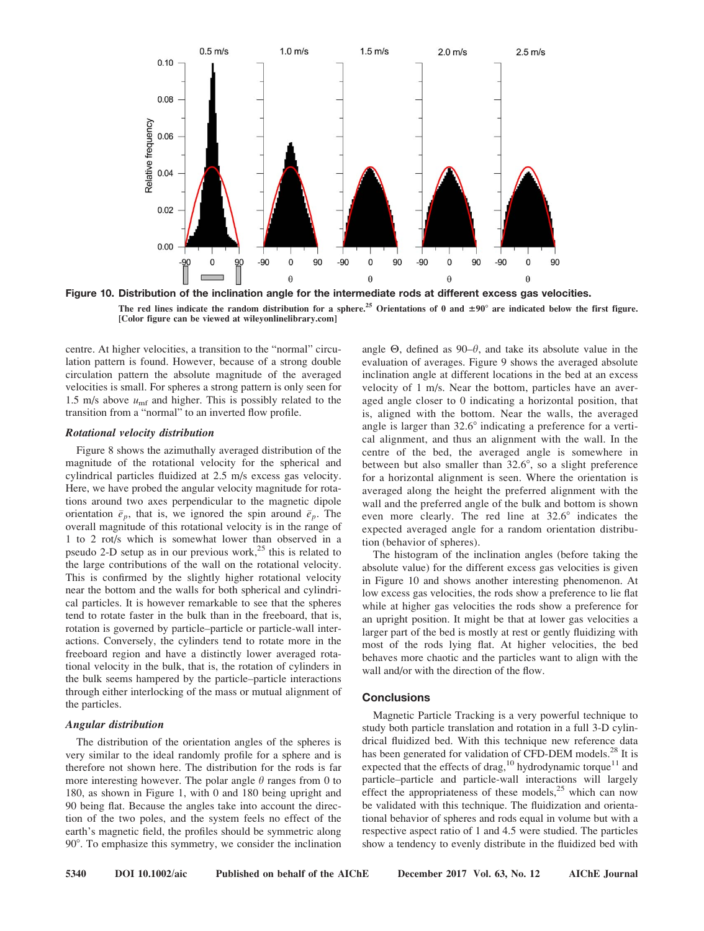



centre. At higher velocities, a transition to the "normal" circulation pattern is found. However, because of a strong double circulation pattern the absolute magnitude of the averaged velocities is small. For spheres a strong pattern is only seen for 1.5 m/s above  $u_{\text{mf}}$  and higher. This is possibly related to the transition from a "normal" to an inverted flow profile.

#### Rotational velocity distribution

Figure 8 shows the azimuthally averaged distribution of the magnitude of the rotational velocity for the spherical and cylindrical particles fluidized at 2.5 m/s excess gas velocity. Here, we have probed the angular velocity magnitude for rotations around two axes perpendicular to the magnetic dipole orientation  $\bar{e}_p$ , that is, we ignored the spin around  $\bar{e}_p$ . The overall magnitude of this rotational velocity is in the range of 1 to 2 rot/s which is somewhat lower than observed in a pseudo 2-D setup as in our previous work, $25$  this is related to the large contributions of the wall on the rotational velocity. This is confirmed by the slightly higher rotational velocity near the bottom and the walls for both spherical and cylindrical particles. It is however remarkable to see that the spheres tend to rotate faster in the bulk than in the freeboard, that is, rotation is governed by particle–particle or particle-wall interactions. Conversely, the cylinders tend to rotate more in the freeboard region and have a distinctly lower averaged rotational velocity in the bulk, that is, the rotation of cylinders in the bulk seems hampered by the particle–particle interactions through either interlocking of the mass or mutual alignment of the particles.

### Angular distribution

The distribution of the orientation angles of the spheres is very similar to the ideal randomly profile for a sphere and is therefore not shown here. The distribution for the rods is far more interesting however. The polar angle  $\theta$  ranges from 0 to 180, as shown in Figure 1, with 0 and 180 being upright and 90 being flat. Because the angles take into account the direction of the two poles, and the system feels no effect of the earth's magnetic field, the profiles should be symmetric along 90°. To emphasize this symmetry, we consider the inclination angle  $\Theta$ , defined as  $90-\theta$ , and take its absolute value in the evaluation of averages. Figure 9 shows the averaged absolute inclination angle at different locations in the bed at an excess velocity of 1 m/s. Near the bottom, particles have an averaged angle closer to 0 indicating a horizontal position, that is, aligned with the bottom. Near the walls, the averaged angle is larger than  $32.6^{\circ}$  indicating a preference for a vertical alignment, and thus an alignment with the wall. In the centre of the bed, the averaged angle is somewhere in between but also smaller than  $32.6^{\circ}$ , so a slight preference for a horizontal alignment is seen. Where the orientation is averaged along the height the preferred alignment with the wall and the preferred angle of the bulk and bottom is shown even more clearly. The red line at  $32.6^{\circ}$  indicates the expected averaged angle for a random orientation distribution (behavior of spheres).

The histogram of the inclination angles (before taking the absolute value) for the different excess gas velocities is given in Figure 10 and shows another interesting phenomenon. At low excess gas velocities, the rods show a preference to lie flat while at higher gas velocities the rods show a preference for an upright position. It might be that at lower gas velocities a larger part of the bed is mostly at rest or gently fluidizing with most of the rods lying flat. At higher velocities, the bed behaves more chaotic and the particles want to align with the wall and/or with the direction of the flow.

## **Conclusions**

Magnetic Particle Tracking is a very powerful technique to study both particle translation and rotation in a full 3-D cylindrical fluidized bed. With this technique new reference data has been generated for validation of CFD-DEM models.<sup>28</sup> It is expected that the effects of drag,<sup>10</sup> hydrodynamic torque<sup>11</sup> and particle–particle and particle-wall interactions will largely effect the appropriateness of these models,<sup>25</sup> which can now be validated with this technique. The fluidization and orientational behavior of spheres and rods equal in volume but with a respective aspect ratio of 1 and 4.5 were studied. The particles show a tendency to evenly distribute in the fluidized bed with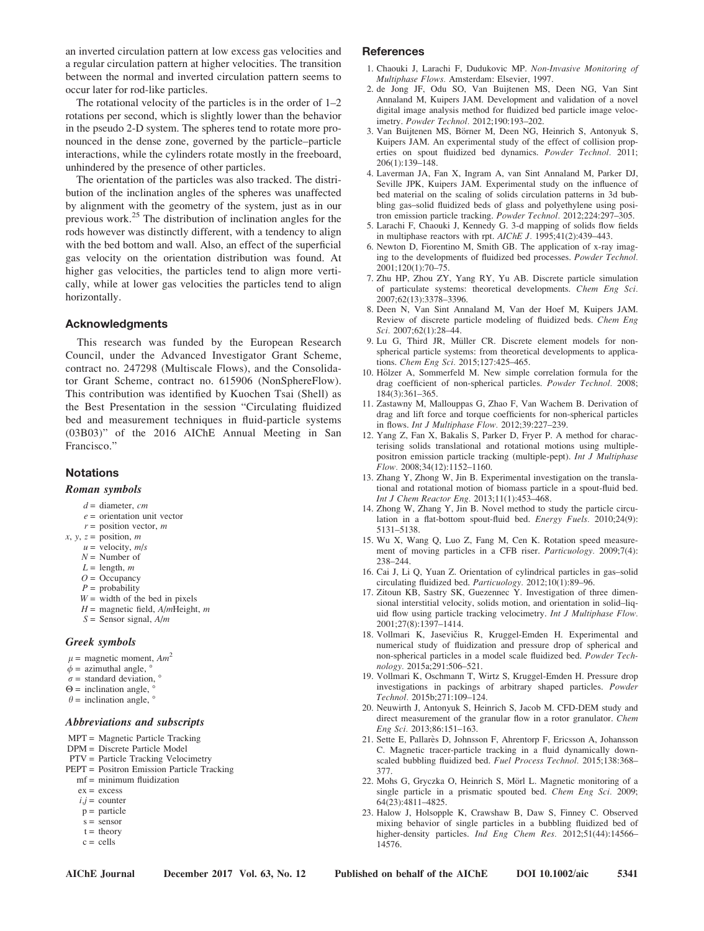an inverted circulation pattern at low excess gas velocities and a regular circulation pattern at higher velocities. The transition between the normal and inverted circulation pattern seems to occur later for rod-like particles.

The rotational velocity of the particles is in the order of 1–2 rotations per second, which is slightly lower than the behavior in the pseudo 2-D system. The spheres tend to rotate more pronounced in the dense zone, governed by the particle–particle interactions, while the cylinders rotate mostly in the freeboard, unhindered by the presence of other particles.

The orientation of the particles was also tracked. The distribution of the inclination angles of the spheres was unaffected by alignment with the geometry of the system, just as in our previous work.<sup>25</sup> The distribution of inclination angles for the rods however was distinctly different, with a tendency to align with the bed bottom and wall. Also, an effect of the superficial gas velocity on the orientation distribution was found. At higher gas velocities, the particles tend to align more vertically, while at lower gas velocities the particles tend to align horizontally.

## Acknowledgments

This research was funded by the European Research Council, under the Advanced Investigator Grant Scheme, contract no. 247298 (Multiscale Flows), and the Consolidator Grant Scheme, contract no. 615906 (NonSphereFlow). This contribution was identified by Kuochen Tsai (Shell) as the Best Presentation in the session "Circulating fluidized bed and measurement techniques in fluid-particle systems (03B03)" of the 2016 AIChE Annual Meeting in San Francisco."

## **Notations**

#### Roman symbols

- $d =$  diameter, cm
- $e =$  orientation unit vector
- $r =$  position vector,  $m$
- $x, y, z =$  position, m
	- $u =$  velocity,  $m/s$
	- $N =$  Number of
	- $L =$  length,  $m$
	- $Q =$ Occupancy
	- $P =$  probability
	- $W =$  width of the bed in pixels  $H =$  magnetic field,  $A/m$ Height, m
	- $S =$  Sensor signal,  $A/m$

#### Greek symbols

- $\mu$  = magnetic moment,  $Am^2$
- $\phi$  = azimuthal angle,
- $\sigma$  = standard deviation,  $\circ$
- $\Theta$  = inclination angle,
- $\theta$  = inclination angle,  $\degree$

#### Abbreviations and subscripts

- MPT = Magnetic Particle Tracking
- DPM = Discrete Particle Model
- PTV = Particle Tracking Velocimetry
- PEPT = Positron Emission Particle Tracking
	- $mf = minimum fluidization$
	- $ex = excess$
	- $i,j =$  counter  $p =$  particle
	- $s =$  sensor
	- $t =$  theory
	- $c =$  cells

## **References**

- 1. Chaouki J, Larachi F, Dudukovic MP. Non-Invasive Monitoring of Multiphase Flows. Amsterdam: Elsevier, 1997.
- 2. de Jong JF, Odu SO, Van Buijtenen MS, Deen NG, Van Sint Annaland M, Kuipers JAM. Development and validation of a novel digital image analysis method for fluidized bed particle image velocimetry. Powder Technol. 2012;190:193–202.
- 3. Van Buijtenen MS, Börner M, Deen NG, Heinrich S, Antonyuk S, Kuipers JAM. An experimental study of the effect of collision properties on spout fluidized bed dynamics. Powder Technol. 2011; 206(1):139–148.
- 4. Laverman JA, Fan X, Ingram A, van Sint Annaland M, Parker DJ, Seville JPK, Kuipers JAM. Experimental study on the influence of bed material on the scaling of solids circulation patterns in 3d bubbling gas–solid fluidized beds of glass and polyethylene using positron emission particle tracking. Powder Technol. 2012;224:297–305.
- 5. Larachi F, Chaouki J, Kennedy G. 3-d mapping of solids flow fields in multiphase reactors with rpt. AIChE J. 1995;41(2):439–443.
- 6. Newton D, Fiorentino M, Smith GB. The application of x-ray imaging to the developments of fluidized bed processes. Powder Technol.  $2001:120(1):70-75.$
- 7. Zhu HP, Zhou ZY, Yang RY, Yu AB. Discrete particle simulation of particulate systems: theoretical developments. Chem Eng Sci. 2007;62(13):3378–3396.
- 8. Deen N, Van Sint Annaland M, Van der Hoef M, Kuipers JAM. Review of discrete particle modeling of fluidized beds. Chem Eng Sci. 2007;62(1):28–44.
- 9. Lu G, Third JR, Müller CR. Discrete element models for nonspherical particle systems: from theoretical developments to applications. Chem Eng Sci. 2015;127:425–465.
- 10. Hölzer A, Sommerfeld M. New simple correlation formula for the drag coefficient of non-spherical particles. Powder Technol. 2008; 184(3):361–365.
- 11. Zastawny M, Mallouppas G, Zhao F, Van Wachem B. Derivation of drag and lift force and torque coefficients for non-spherical particles in flows. Int J Multiphase Flow. 2012;39:227–239.
- 12. Yang Z, Fan X, Bakalis S, Parker D, Fryer P. A method for characterising solids translational and rotational motions using multiplepositron emission particle tracking (multiple-pept). Int J Multiphase Flow. 2008;34(12):1152–1160.
- 13. Zhang Y, Zhong W, Jin B. Experimental investigation on the translational and rotational motion of biomass particle in a spout-fluid bed. Int J Chem Reactor Eng. 2013;11(1):453–468.
- 14. Zhong W, Zhang Y, Jin B. Novel method to study the particle circulation in a flat-bottom spout-fluid bed. Energy Fuels. 2010;24(9): 5131–5138.
- 15. Wu X, Wang Q, Luo Z, Fang M, Cen K. Rotation speed measurement of moving particles in a CFB riser. Particuology. 2009;7(4): 238–244.
- 16. Cai J, Li Q, Yuan Z. Orientation of cylindrical particles in gas–solid circulating fluidized bed. Particuology. 2012;10(1):89–96.
- 17. Zitoun KB, Sastry SK, Guezennec Y. Investigation of three dimensional interstitial velocity, solids motion, and orientation in solid–liquid flow using particle tracking velocimetry. Int J Multiphase Flow. 2001;27(8):1397–1414.
- 18. Vollmari K, Jasevičius R, Kruggel-Emden H. Experimental and numerical study of fluidization and pressure drop of spherical and non-spherical particles in a model scale fluidized bed. Powder Technology. 2015a;291:506–521.
- 19. Vollmari K, Oschmann T, Wirtz S, Kruggel-Emden H. Pressure drop investigations in packings of arbitrary shaped particles. Powder Technol. 2015b;271:109–124.
- 20. Neuwirth J, Antonyuk S, Heinrich S, Jacob M. CFD-DEM study and direct measurement of the granular flow in a rotor granulator. Chem Eng Sci. 2013;86:151–163.
- 21. Sette E, Pallarès D, Johnsson F, Ahrentorp F, Ericsson A, Johansson C. Magnetic tracer-particle tracking in a fluid dynamically downscaled bubbling fluidized bed. Fuel Process Technol. 2015;138:368– 377.
- 22. Mohs G, Gryczka O, Heinrich S, Mörl L. Magnetic monitoring of a single particle in a prismatic spouted bed. Chem Eng Sci. 2009; 64(23):4811–4825.
- 23. Halow J, Holsopple K, Crawshaw B, Daw S, Finney C. Observed mixing behavior of single particles in a bubbling fluidized bed of higher-density particles. Ind Eng Chem Res. 2012;51(44):14566-14576.